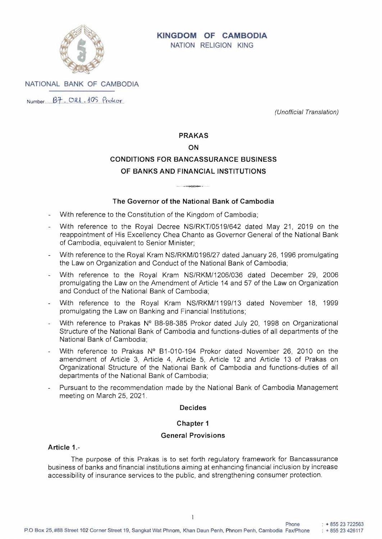

# **KINGDOM OF CAMBODIA**  NATION RELIGION KING

NATIONAL BANK OF CAMBODIA

 $Number$   $B7$   $O21$ ,  $105$   $P_{\text{rektor}}$ 

(Unofficial Translation)

## **PRAKAS**

#### **ON**

# **CONDITIONS FOR BANCASSURANCE BUSINESS OF BANKS AND FINANCIAL INSTITUTIONS**

# **The Governor of the National Bank of Cambodia**

- With reference to the Constitution of the Kingdom of Cambodia;
- With reference to the Royal Decree NS/RKT/0519/642 dated May 21, 2019 on the reappointment of His Excellency Chea Chanto as Governor General of the National Bank of Cambodia, equivalent to Senior Minister;
- With reference to the Royal Kram NS/RKM/0196/27 dated January 26, 1996 promulgating the Law on Organization and Conduct of the National Bank of Cambodia;
- With reference to the Royal Kram NS/RKM/1206/036 dated December 29, 2006 promulgating the Law on the Amendment of Article 14 and 57 of the Law on Organization and Conduct of the National Bank of Cambodia;
- With reference to the Royal Kram NS/RKM/1199/13 dated November 18, 1999 promulgating the Law on Banking and Financial Institutions;
- With reference to Prakas Nº B8-98-385 Prokor dated July 20, 1998 on Organizational Structure of the National Bank of Cambodia and functions-duties of all departments of the National Bank of Cambodia;
- With reference to Prakas Nº B1-010-194 Prokor dated November 26, 2010 on the amendment of Article 3, Article 4, Article 5, Article 12 and Article 13 of Prakas on Organizational Structure of the National Bank of Cambodia and functions-duties of all departments of the National Bank of Cambodia;
- Pursuant to the recommendation made by the National Bank of Cambodia Management meeting on March 25, 2021.

#### **Decides**

# **Chapter 1**

#### **General Provisions**

# **Article** 1.

The purpose of this Prakas is to set forth regulatory framework for Bancassurance business of banks and financial institutions aiming at enhancing financial inclusion by increase accessibility of insurance services to the public, and strengthening consumer protection.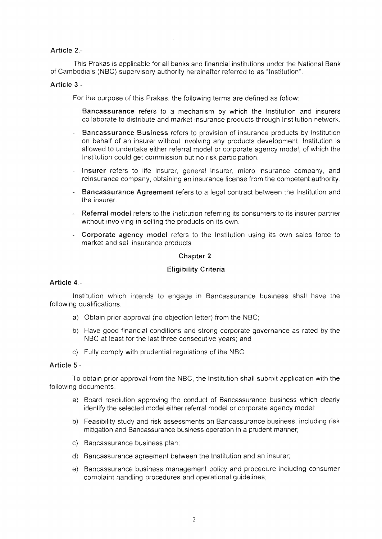# Article 2.

This Prakas is applicable for all banks and financial institutions under the National Bank of Cambodia's (NBC) supervisory authority hereinafter referred to as "Institution".

#### Article 3 -

For the purpose of this Prakas, the following terms are defined as follow:

- Bancassurance refers to a mechanism by which the Institution and insurers collaborate to distribute and market insurance products through Institution network.
- Bancassurance Business refers to provision of insurance products by Institution on behalf of an insurer without involving any products development. Institution is allowed to undertake either referral model or corporate agency model, of which the Institution could get commission but no risk participation.
- Insurer refers to life insurer, general insurer, micro insurance company, and reinsurance company, obtaining an insurance license from the competent authority.
- Bancassurance Agreement refers to a legal contract between the Institution and the insurer.
- Referral model refers to the Institution referring its consumers to its insurer partner without involving in selling the products on its own.
- Corporate agency model refers to the Institution using its own sales force to market and sell insurance products.

#### Chapter 2

#### Eligibility Criteria

#### Article 4.

Institution which intends to engage in Bancassurance business shall have the following qualifications:

- a) Obtain prior approval (no objection letter) from the NBC;
- Have good financial conditions and strong corporate governance as NBC at least for the last three consecutive years; and
- c) Fully comply with prudential regulations of the NBC.

#### Article 5.

obtain prior approval from the NBC, the Institution shall submit application with following documents

- a) Board resolution approving the conduct of Bancassurance business which clearly identify the selected model either referral model or corporate agency model;
- b) Feasibility study and risk assessments on Bancassurance business, including risk mitigation and Bancassurance business operation in a prudent manner;
- c) Bancassurance business plan;
- d) Bancassurance agreement between the Institution and an insurer;
- e) Bancassurance business management policy and procedure including consumer complaint handling procedures and operational guidelines;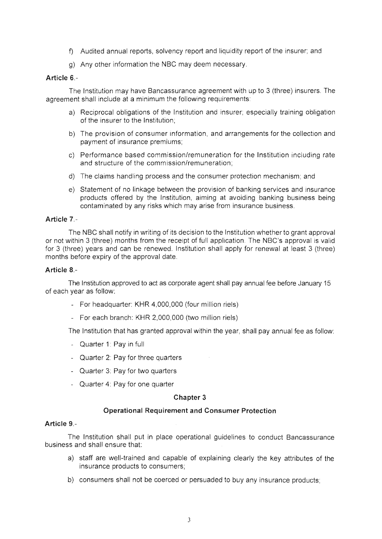- f) Audited annual reports, solvency report and liquidity report of the insurer; and
- g) Any other information the NBC may deem necessary.

# Article 6 -

The Institution may have Bancassurance agreement with up to 3 (three) insurers. The agreement shall include at a minimum the following requirements:

- a) Reciprocal obligations of the Institution and insurer; especially training obligation of the insurer to the Institution;
- b) The provision of consumer information, and arrangements for the collection and payment of insurance premiums;
- c) Performance based commission/remuneration for the Institution including rate and structure of the commission/remuneration;
- d) The claims handling process and the consumer protection mechanism; and
- e) Statement of no linkage between the provision of banking services and insurance products offered by the Institution, aiming at avoiding banking business being contaminated by any risks which may arise from insurance business.

# Article 7.-

The NBC shall notify in writing of its decision to the Institution whether to grant approval or not within 3 (three) months from the receipt of full application. The NBC's approval is valid for 3 (three) years and can be renewed. Institution shall apply for renewal at least 3 (three) months before expiry of the approval date.

#### Article 8.

The Institution approved to act as corporate agent shall pay annual fee before January 15 of each year as follow:

- For headquarter: KHR 4,000,000 (four million riels)
- For each branch: KHR 2,000,000 (two million riels)

The Institution that has granted approval within the year, shall pay annual fee as follow:

- Quarter 1: Pay in full
- Quarter 2: Pay for three quarters
- Quarter 3: Pay for two quarters
- Quarter 4: Pay for one quarter

#### Chapter 3

#### Operational Requirement and Consumer Protection

## Article 9.

The Institution shall put in place operational guidelines to conduct Bancassurance business and shall ensure that:

- a) staff are well-trained and capable of explaining clearly the key attributes of the insurance products to consumers;
- b) consumers shall not be coerced or persuaded to buy any insurance products;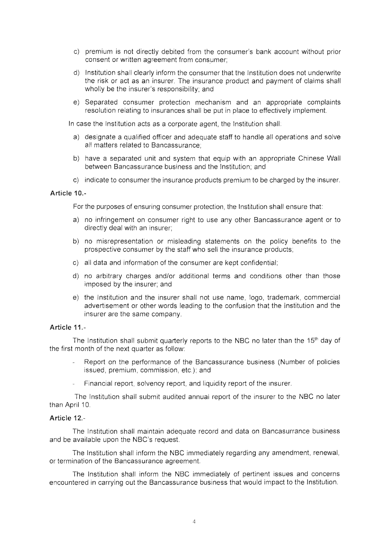- c) premium is not directly debited from the consumer's bank account without prior consent or written agreement from consumer;
- d) Institution shall clearly inform the consumer that the Institution does not underwrite the risk or act as an insurer. The insurance product and payment of claims shall wholly be the insurer's responsibility; and
- e) Separated consumer protection mechanism and an appropriate complaints resolution relating to insurances shall be put in place to effectively implement

In case the Institution acts as a corporate agent, the Institution shall:

- a) designate a qualified officer and adequate staff to handle all operations and solve all matters related to Bancassurance;
- b) have a separated unit and system that equip with an appropriate Chinese Wall between Bancassurance business and the Institution; and
- c) indicate to consumer the insurance products premium to be charged by the insurer.

#### Article 10.

For the purposes of ensuring consumer protection, the Institution shall ensure that:

- no infringement on consumer right to use any other Bancassurance agent or to directly deal with an insurer;
- b) no misrepresentation or misleading statements on the policy benefits to the prospective consumer by the staff who sell the insurance products;
- c) all data and information of the consumer are kept confidential;
- d) no arbitrary charges and/or additional terms and conditions other than those imposed by the insurer; and
- e) the Institution and the insurer shall not use name, logo, trademark, commercial advertisement or other words leading to the confusion that the Institution and the insurer are the same company.

#### Article 11.

The Institution shall submit quarterly reports to the NBC no later than the 15<sup>th</sup> day of the first month of the next quarter as follow:

- Report on the performance of the Bancassurance business (Number of policies issued, premium, commission, etc.); and
- Financial report, solvency report, and liquidity report of the insurer.

The Institution shall submit audited annual report of the insurer to the NBC no later than April 10.

# Article 12.

The Institution shall maintain adequate record and data on Bancasurrance business and be available upon the NBC's request.

The Institution shall inform the NBC immediately regarding any amendment, renewal, or termination of the Bancassurance agreement.

The Institution shall inform the NBC immediately of pertinent issues and concerns encountered in carrying out the Bancassurance business that would impact to the Institution.